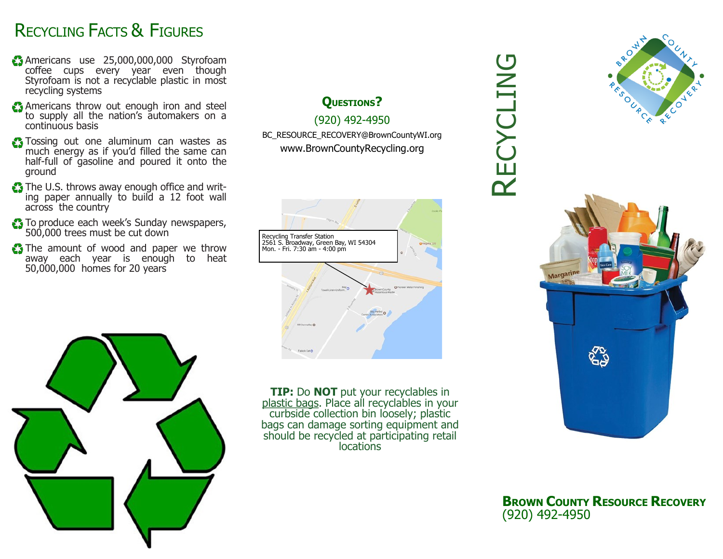#### RECYCLING FACTS & FIGURES

- Americans use 25,000,000,000 Styrofoam coffee cups every year even though Styrofoam is not a recyclable plastic in most recycling systems
- Americans throw out enough iron and steel to supply all the nation's automakers on a continuous basis
- **Tossing out one aluminum can wastes as** much energy as if you'd filled the same can half-full of gasoline and poured it onto the ground
- The U.S. throws away enough office and writing paper annually to build a 12 foot wall across the country
- To produce each week's Sunday newspapers, 500,000 trees must be cut down
- The amount of wood and paper we throw away each year is enough to heat 50,000,000 homes for 20 years

#### **QUESTIONS?**

#### (920) 492-4950

BC\_RESOURCE\_RECOVERY@BrownCountyWI.org www.BrownCountyRecycling.org





**TIP:** Do **NOT** put your recyclables in plastic bags. Place all recyclables in your curbside collection bin loosely; plastic bags can damage sorting equipment and should be recycled at participating retail locations

# RECYCLING



**BROWN COUNTY RESOURCE RECOVERY** (920) 492-4950